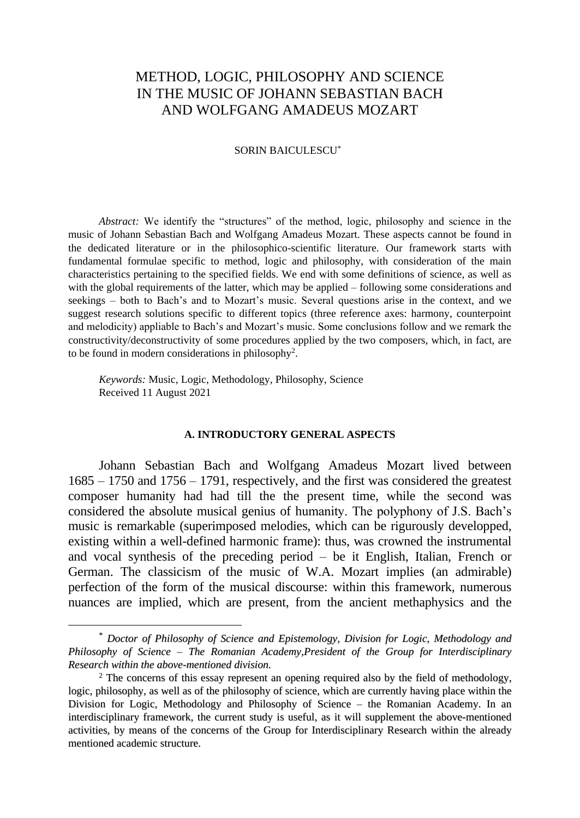# METHOD, LOGIC, PHILOSOPHY AND SCIENCE IN THE MUSIC OF JOHANN SEBASTIAN BACH AND WOLFGANG AMADEUS MOZART

### SORIN BAICULESCU\***<sup>1</sup>**

*Abstract:* We identify the "structures" of the method, logic, philosophy and science in the music of Johann Sebastian Bach and Wolfgang Amadeus Mozart. These aspects cannot be found in the dedicated literature or in the philosophico-scientific literature. Our framework starts with fundamental formulae specific to method, logic and philosophy, with consideration of the main characteristics pertaining to the specified fields. We end with some definitions of science, as well as with the global requirements of the latter, which may be applied – following some considerations and seekings – both to Bach's and to Mozart's music. Several questions arise in the context, and we suggest research solutions specific to different topics (three reference axes: harmony, counterpoint and melodicity) appliable to Bach's and Mozart's music. Some conclusions follow and we remark the constructivity/deconstructivity of some procedures applied by the two composers, which, in fact, are to be found in modern considerations in philosophy<sup>2</sup> .

*Keywords:* Music, Logic, Methodology, Philosophy, Science Received 11 August 2021

### **A. INTRODUCTORY GENERAL ASPECTS**

Johann Sebastian Bach and Wolfgang Amadeus Mozart lived between 1685 – 1750 and 1756 – 1791, respectively, and the first was considered the greatest composer humanity had had till the the present time, while the second was considered the absolute musical genius of humanity. The polyphony of J.S. Bach's music is remarkable (superimposed melodies, which can be rigurously developped, existing within a well-defined harmonic frame): thus, was crowned the instrumental and vocal synthesis of the preceding period – be it English, Italian, French or German. The classicism of the music of W.A. Mozart implies (an admirable) perfection of the form of the musical discourse: within this framework, numerous nuances are implied, which are present, from the ancient methaphysics and the

<sup>\*</sup> *Doctor of Philosophy of Science and Epistemology, Division for Logic, Methodology and Philosophy of Science – The Romanian Academy,President of the Group for Interdisciplinary Research within the above-mentioned division.*

<sup>&</sup>lt;sup>2</sup> The concerns of this essay represent an opening required also by the field of methodology, logic, philosophy, as well as of the philosophy of science, which are currently having place within the Division for Logic, Methodology and Philosophy of Science – the Romanian Academy. In an interdisciplinary framework, the current study is useful, as it will supplement the above-mentioned activities, by means of the concerns of the Group for Interdisciplinary Research within the already mentioned academic structure.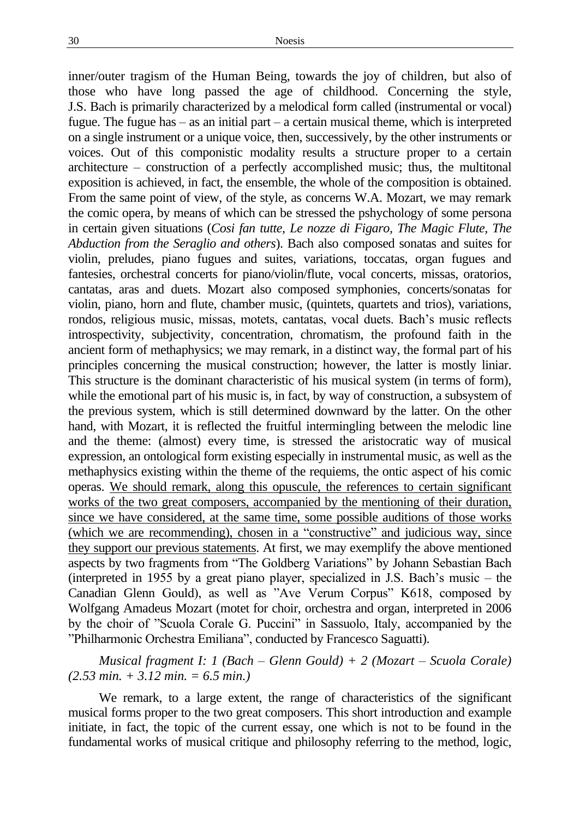inner/outer tragism of the Human Being, towards the joy of children, but also of those who have long passed the age of childhood. Concerning the style, J.S. Bach is primarily characterized by a melodical form called (instrumental or vocal) fugue. The fugue has – as an initial part – a certain musical theme, which is interpreted on a single instrument or a unique voice, then, successively, by the other instruments or voices. Out of this componistic modality results a structure proper to a certain architecture – construction of a perfectly accomplished music; thus, the multitonal exposition is achieved, in fact, the ensemble, the whole of the composition is obtained. From the same point of view, of the style, as concerns W.A. Mozart, we may remark the comic opera, by means of which can be stressed the pshychology of some persona in certain given situations (*Cosi fan tutte, Le nozze di Figaro, The Magic Flute, The Abduction from the Seraglio and others*). Bach also composed sonatas and suites for violin, preludes, piano fugues and suites, variations, toccatas, organ fugues and fantesies, orchestral concerts for piano/violin/flute, vocal concerts, missas, oratorios, cantatas, aras and duets. Mozart also composed symphonies, concerts/sonatas for violin, piano, horn and flute, chamber music, (quintets, quartets and trios), variations, rondos, religious music, missas, motets, cantatas, vocal duets. Bach's music reflects introspectivity, subjectivity, concentration, chromatism, the profound faith in the ancient form of methaphysics; we may remark, in a distinct way, the formal part of his principles concerning the musical construction; however, the latter is mostly liniar. This structure is the dominant characteristic of his musical system (in terms of form), while the emotional part of his music is, in fact, by way of construction, a subsystem of the previous system, which is still determined downward by the latter. On the other hand, with Mozart, it is reflected the fruitful intermingling between the melodic line and the theme: (almost) every time, is stressed the aristocratic way of musical expression, an ontological form existing especially in instrumental music, as well as the methaphysics existing within the theme of the requiems, the ontic aspect of his comic operas. We should remark, along this opuscule, the references to certain significant works of the two great composers, accompanied by the mentioning of their duration, since we have considered, at the same time, some possible auditions of those works (which we are recommending), chosen in a "constructive" and judicious way, since they support our previous statements. At first, we may exemplify the above mentioned aspects by two fragments from "The Goldberg Variations" by Johann Sebastian Bach (interpreted in 1955 by a great piano player, specialized in J.S. Bach's music – the Canadian Glenn Gould), as well as "Ave Verum Corpus" K618, composed by Wolfgang Amadeus Mozart (motet for choir, orchestra and organ, interpreted in 2006 by the choir of "Scuola Corale G. Puccini" in Sassuolo, Italy, accompanied by the "Philharmonic Orchestra Emiliana", conducted by Francesco Saguatti).

*Musical fragment I: 1 (Bach – Glenn Gould)* + 2 *(Mozart – Scuola Corale) (2.53 min. + 3.12 min. = 6.5 min.)*

We remark, to a large extent, the range of characteristics of the significant musical forms proper to the two great composers. This short introduction and example initiate, in fact, the topic of the current essay, one which is not to be found in the fundamental works of musical critique and philosophy referring to the method, logic,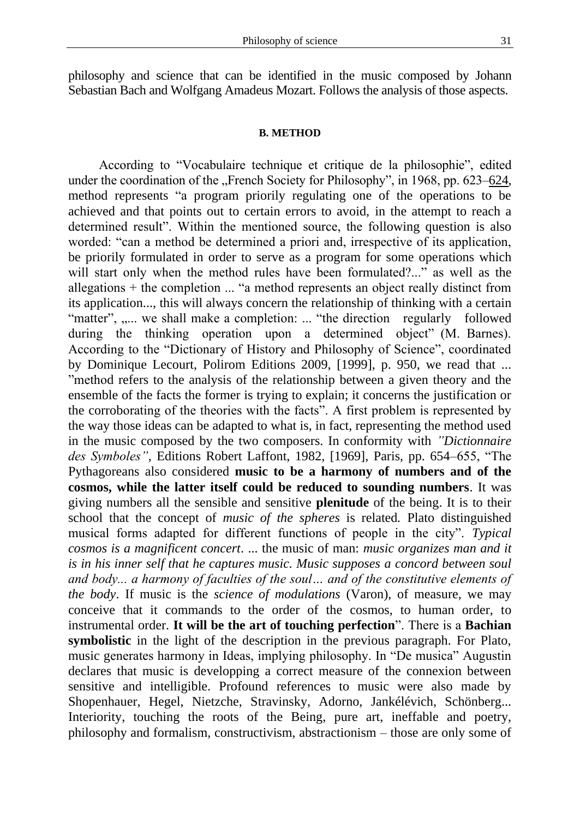philosophy and science that can be identified in the music composed by Johann Sebastian Bach and Wolfgang Amadeus Mozart. Follows the analysis of those aspects.

#### **B. METHOD**

According to "Vocabulaire technique et critique de la philosophie", edited under the coordination of the "French Society for Philosophy", in 1968, pp. 623–624, method represents "a program priorily regulating one of the operations to be achieved and that points out to certain errors to avoid, in the attempt to reach a determined result". Within the mentioned source, the following question is also worded: "can a method be determined a priori and, irrespective of its application, be priorily formulated in order to serve as a program for some operations which will start only when the method rules have been formulated?..." as well as the allegations + the completion ... "a method represents an object really distinct from its application..., this will always concern the relationship of thinking with a certain "matter", ,.... we shall make a completion: ... "the direction regularly followed during the thinking operation upon a determined object" (M. Barnes). According to the "Dictionary of History and Philosophy of Science", coordinated by Dominique Lecourt, Polirom Editions 2009, [1999], p. 950, we read that ... "method refers to the analysis of the relationship between a given theory and the ensemble of the facts the former is trying to explain; it concerns the justification or the corroborating of the theories with the facts". A first problem is represented by the way those ideas can be adapted to what is, in fact, representing the method used in the music composed by the two composers. In conformity with *"Dictionnaire des Symboles"*, Editions Robert Laffont, 1982, [1969], Paris, pp. 654–655, "The Pythagoreans also considered **music to be a harmony of numbers and of the cosmos, while the latter itself could be reduced to sounding numbers**. It was giving numbers all the sensible and sensitive **plenitude** of the being. It is to their school that the concept of *music of the spheres* is related*.* Plato distinguished musical forms adapted for different functions of people in the city". *Typical cosmos is a magnificent concert*. ... the music of man: *music organizes man and it is in his inner self that he captures music. Music supposes a concord between soul and body... a harmony of faculties of the soul… and of the constitutive elements of the body*. If music is the *science of modulations* (Varon), of measure, we may conceive that it commands to the order of the cosmos, to human order, to instrumental order. **It will be the art of touching perfection**". There is a **Bachian symbolistic** in the light of the description in the previous paragraph. For Plato, music generates harmony in Ideas, implying philosophy. In "De musica" Augustin declares that music is developping a correct measure of the connexion between sensitive and intelligible. Profound references to music were also made by Shopenhauer, Hegel, Nietzche, Stravinsky, Adorno, Jankélévich, Schönberg... Interiority, touching the roots of the Being, pure art, ineffable and poetry, philosophy and formalism, constructivism, abstractionism – those are only some of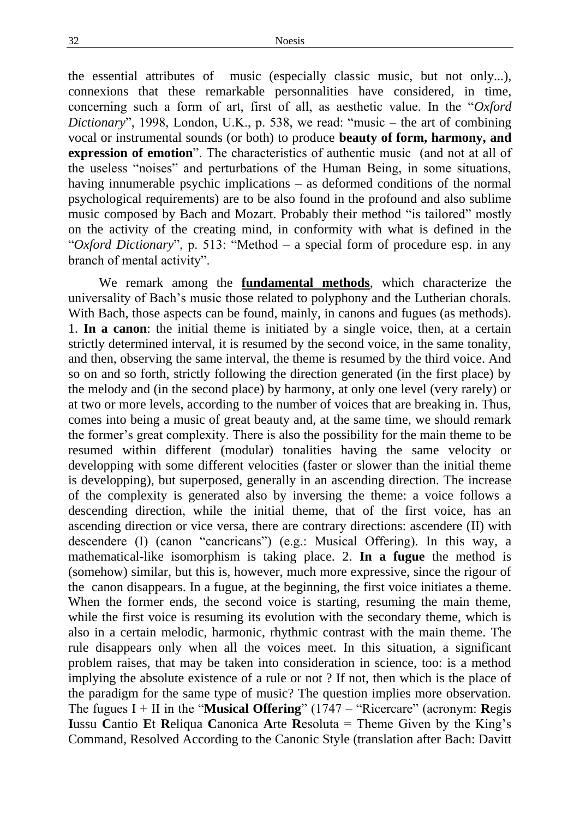the essential attributes of music (especially classic music, but not only...), connexions that these remarkable personnalities have considered, in time, concerning such a form of art, first of all, as aesthetic value. In the "*Oxford Dictionary*", 1998, London, U.K., p. 538, we read: "music – the art of combining vocal or instrumental sounds (or both) to produce **beauty of form, harmony, and expression of emotion**". The characteristics of authentic music (and not at all of the useless "noises" and perturbations of the Human Being, in some situations, having innumerable psychic implications – as deformed conditions of the normal psychological requirements) are to be also found in the profound and also sublime music composed by Bach and Mozart. Probably their method "is tailored" mostly on the activity of the creating mind, in conformity with what is defined in the "*Oxford Dictionary*", p. 513: "Method – a special form of procedure esp. in any branch of mental activity".

We remark among the **fundamental methods**, which characterize the universality of Bach's music those related to polyphony and the Lutherian chorals. With Bach, those aspects can be found, mainly, in canons and fugues (as methods). 1. **In a canon**: the initial theme is initiated by a single voice, then, at a certain strictly determined interval, it is resumed by the second voice, in the same tonality, and then, observing the same interval, the theme is resumed by the third voice. And so on and so forth, strictly following the direction generated (in the first place) by the melody and (in the second place) by harmony, at only one level (very rarely) or at two or more levels, according to the number of voices that are breaking in. Thus, comes into being a music of great beauty and, at the same time, we should remark the former's great complexity. There is also the possibility for the main theme to be resumed within different (modular) tonalities having the same velocity or developping with some different velocities (faster or slower than the initial theme is developping), but superposed, generally in an ascending direction. The increase of the complexity is generated also by inversing the theme: a voice follows a descending direction, while the initial theme, that of the first voice, has an ascending direction or vice versa, there are contrary directions: ascendere (II) with descendere (I) (canon "cancricans") (e.g.: Musical Offering). In this way, a mathematical-like isomorphism is taking place. 2. **In a fugue** the method is (somehow) similar, but this is, however, much more expressive, since the rigour of the canon disappears. In a fugue, at the beginning, the first voice initiates a theme. When the former ends, the second voice is starting, resuming the main theme, while the first voice is resuming its evolution with the secondary theme, which is also in a certain melodic, harmonic, rhythmic contrast with the main theme. The rule disappears only when all the voices meet. In this situation, a significant problem raises, that may be taken into consideration in science, too: is a method implying the absolute existence of a rule or not ? If not, then which is the place of the paradigm for the same type of music? The question implies more observation. The fugues I + II in the "**Musical Offering**" (1747 – "Ricercare" (acronym: **R**egis **I**ussu **C**antio **E**t **R**eliqua **C**anonica **A**rte **R**esoluta = Theme Given by the King's Command, Resolved According to the Canonic Style (translation after Bach: Davitt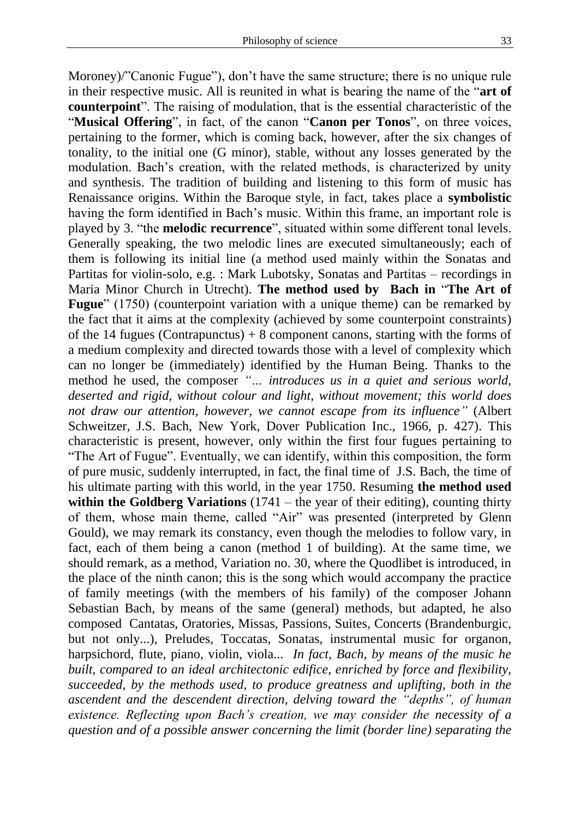Moroney)/"Canonic Fugue"), don't have the same structure; there is no unique rule in their respective music. All is reunited in what is bearing the name of the "**art of counterpoint**". The raising of modulation, that is the essential characteristic of the "**Musical Offering**", in fact, of the canon "**Canon per Tonos**", on three voices, pertaining to the former, which is coming back, however, after the six changes of tonality, to the initial one (G minor), stable, without any losses generated by the modulation. Bach's creation, with the related methods, is characterized by unity and synthesis. The tradition of building and listening to this form of music has Renaissance origins. Within the Baroque style, in fact, takes place a **symbolistic**  having the form identified in Bach's music. Within this frame, an important role is played by 3. "the **melodic recurrence**", situated within some different tonal levels. Generally speaking, the two melodic lines are executed simultaneously; each of them is following its initial line (a method used mainly within the Sonatas and Partitas for violin-solo, e.g. : Mark Lubotsky, Sonatas and Partitas – recordings in Maria Minor Church in Utrecht). **The method used by Bach in** "**The Art of Fugue**" (1750) (counterpoint variation with a unique theme) can be remarked by the fact that it aims at the complexity (achieved by some counterpoint constraints) of the 14 fugues (Contrapunctus) + 8 component canons, starting with the forms of a medium complexity and directed towards those with a level of complexity which can no longer be (immediately) identified by the Human Being. Thanks to the method he used, the composer *"… introduces us in a quiet and serious world, deserted and rigid, without colour and light, without movement; this world does not draw our attention, however, we cannot escape from its influence"* (Albert Schweitzer, J.S. Bach, New York, Dover Publication Inc., 1966, p. 427). This characteristic is present, however, only within the first four fugues pertaining to "The Art of Fugue". Eventually, we can identify, within this composition, the form of pure music, suddenly interrupted, in fact, the final time of J.S. Bach, the time of his ultimate parting with this world, in the year 1750. Resuming **the method used within the Goldberg Variations** (1741 – the year of their editing), counting thirty of them, whose main theme, called "Air" was presented (interpreted by Glenn Gould), we may remark its constancy, even though the melodies to follow vary, in fact, each of them being a canon (method 1 of building). At the same time, we should remark, as a method, Variation no. 30, where the Quodlibet is introduced, in the place of the ninth canon; this is the song which would accompany the practice of family meetings (with the members of his family) of the composer Johann Sebastian Bach, by means of the same (general) methods, but adapted, he also composed Cantatas, Oratories, Missas, Passions, Suites, Concerts (Brandenburgic, but not only...), Preludes, Toccatas, Sonatas, instrumental music for organon, harpsichord, flute, piano, violin, viola... *In fact, Bach, by means of the music he built, compared to an ideal architectonic edifice, enriched by force and flexibility, succeeded, by the methods used, to produce greatness and uplifting, both in the ascendent and the descendent direction, delving toward the "depths", of human existence. Reflecting upon Bach's creation, we may consider the necessity of a question and of a possible answer concerning the limit (border line) separating the*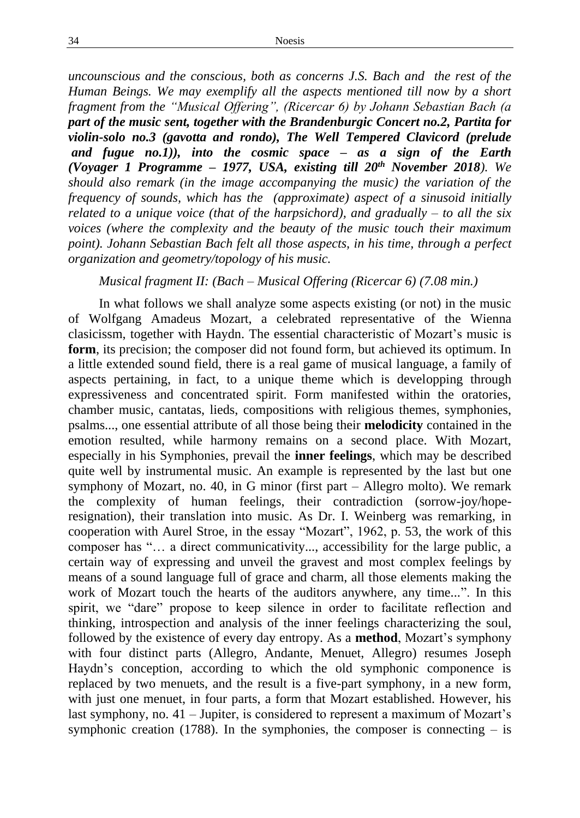*uncounscious and the conscious, both as concerns J.S. Bach and the rest of the Human Beings. We may exemplify all the aspects mentioned till now by a short fragment from the "Musical Offering", (Ricercar 6) by Johann Sebastian Bach (a part of the music sent, together with the Brandenburgic Concert no.2, Partita for violin-solo no.3 (gavotta and rondo), The Well Tempered Clavicord (prelude and fugue no.1)), into the cosmic space – as a sign of the Earth (Voyager 1 Programme – 1977, USA, existing till 20th November 2018). We should also remark (in the image accompanying the music) the variation of the frequency of sounds, which has the (approximate) aspect of a sinusoid initially related to a unique voice (that of the harpsichord), and gradually – to all the six voices (where the complexity and the beauty of the music touch their maximum point). Johann Sebastian Bach felt all those aspects, in his time, through a perfect organization and geometry/topology of his music.* 

# *Musical fragment II: (Bach – Musical Offering (Ricercar 6) (7.08 min.)*

In what follows we shall analyze some aspects existing (or not) in the music of Wolfgang Amadeus Mozart, a celebrated representative of the Wienna clasicissm, together with Haydn. The essential characteristic of Mozart's music is **form**, its precision; the composer did not found form, but achieved its optimum. In a little extended sound field, there is a real game of musical language, a family of aspects pertaining, in fact, to a unique theme which is developping through expressiveness and concentrated spirit. Form manifested within the oratories, chamber music, cantatas, lieds, compositions with religious themes, symphonies, psalms..., one essential attribute of all those being their **melodicity** contained in the emotion resulted, while harmony remains on a second place. With Mozart, especially in his Symphonies, prevail the **inner feelings**, which may be described quite well by instrumental music. An example is represented by the last but one symphony of Mozart, no. 40, in G minor (first part – Allegro molto). We remark the complexity of human feelings, their contradiction (sorrow-joy/hoperesignation), their translation into music. As Dr. I. Weinberg was remarking, in cooperation with Aurel Stroe, in the essay "Mozart", 1962, p. 53, the work of this composer has "… a direct communicativity..., accessibility for the large public, a certain way of expressing and unveil the gravest and most complex feelings by means of a sound language full of grace and charm, all those elements making the work of Mozart touch the hearts of the auditors anywhere, any time...". In this spirit, we "dare" propose to keep silence in order to facilitate reflection and thinking, introspection and analysis of the inner feelings characterizing the soul, followed by the existence of every day entropy. As a **method**, Mozart's symphony with four distinct parts (Allegro, Andante, Menuet, Allegro) resumes Joseph Haydn's conception, according to which the old symphonic componence is replaced by two menuets, and the result is a five-part symphony, in a new form, with just one menuet, in four parts, a form that Mozart established. However, his last symphony, no. 41 – Jupiter, is considered to represent a maximum of Mozart's symphonic creation (1788). In the symphonies, the composer is connecting  $-$  is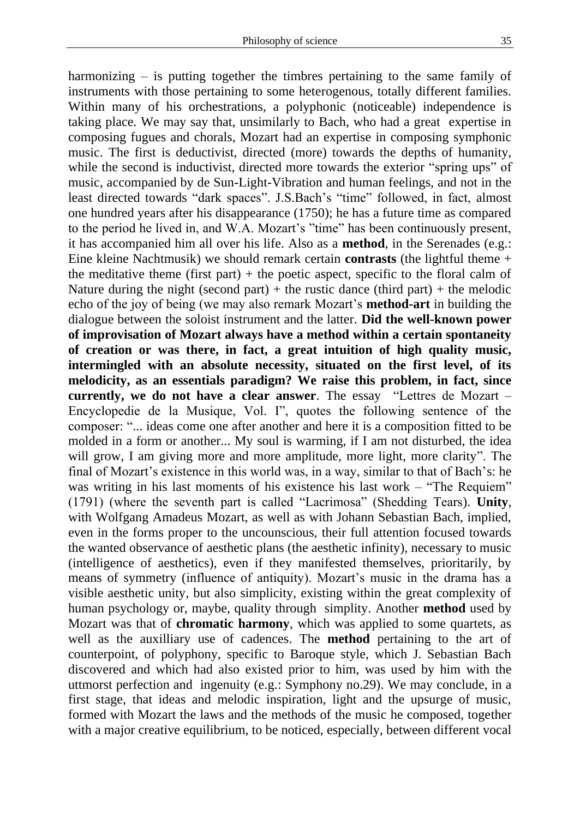harmonizing  $-$  is putting together the timbres pertaining to the same family of instruments with those pertaining to some heterogenous, totally different families. Within many of his orchestrations, a polyphonic (noticeable) independence is taking place. We may say that, unsimilarly to Bach, who had a great expertise in composing fugues and chorals, Mozart had an expertise in composing symphonic music. The first is deductivist, directed (more) towards the depths of humanity, while the second is inductivist, directed more towards the exterior "spring ups" of music, accompanied by de Sun-Light-Vibration and human feelings, and not in the least directed towards "dark spaces". J.S.Bach's "time" followed, in fact, almost one hundred years after his disappearance (1750); he has a future time as compared to the period he lived in, and W.A. Mozart's "time" has been continuously present, it has accompanied him all over his life. Also as a **method**, in the Serenades (e.g.: Eine kleine Nachtmusik) we should remark certain **contrasts** (the lightful theme + the meditative theme (first part)  $+$  the poetic aspect, specific to the floral calm of Nature during the night (second part) + the rustic dance (third part) + the melodic echo of the joy of being (we may also remark Mozart's **method-art** in building the dialogue between the soloist instrument and the latter. **Did the well-known power of improvisation of Mozart always have a method within a certain spontaneity of creation or was there, in fact, a great intuition of high quality music, intermingled with an absolute necessity, situated on the first level, of its melodicity, as an essentials paradigm? We raise this problem, in fact, since currently, we do not have a clear answer**. The essay "Lettres de Mozart – Encyclopedie de la Musique, Vol. I", quotes the following sentence of the composer: "... ideas come one after another and here it is a composition fitted to be molded in a form or another... My soul is warming, if I am not disturbed, the idea will grow, I am giving more and more amplitude, more light, more clarity". The final of Mozart's existence in this world was, in a way, similar to that of Bach's: he was writing in his last moments of his existence his last work – "The Requiem" (1791) (where the seventh part is called "Lacrimosa" (Shedding Tears). **Unity**, with Wolfgang Amadeus Mozart, as well as with Johann Sebastian Bach, implied, even in the forms proper to the uncounscious, their full attention focused towards the wanted observance of aesthetic plans (the aesthetic infinity), necessary to music (intelligence of aesthetics), even if they manifested themselves, prioritarily, by means of symmetry (influence of antiquity). Mozart's music in the drama has a visible aesthetic unity, but also simplicity, existing within the great complexity of human psychology or, maybe, quality through simplity. Another **method** used by Mozart was that of **chromatic harmony**, which was applied to some quartets, as well as the auxilliary use of cadences. The **method** pertaining to the art of counterpoint, of polyphony, specific to Baroque style, which J. Sebastian Bach discovered and which had also existed prior to him, was used by him with the uttmorst perfection and ingenuity (e.g.: Symphony no.29). We may conclude, in a first stage, that ideas and melodic inspiration, light and the upsurge of music, formed with Mozart the laws and the methods of the music he composed, together with a major creative equilibrium, to be noticed, especially, between different vocal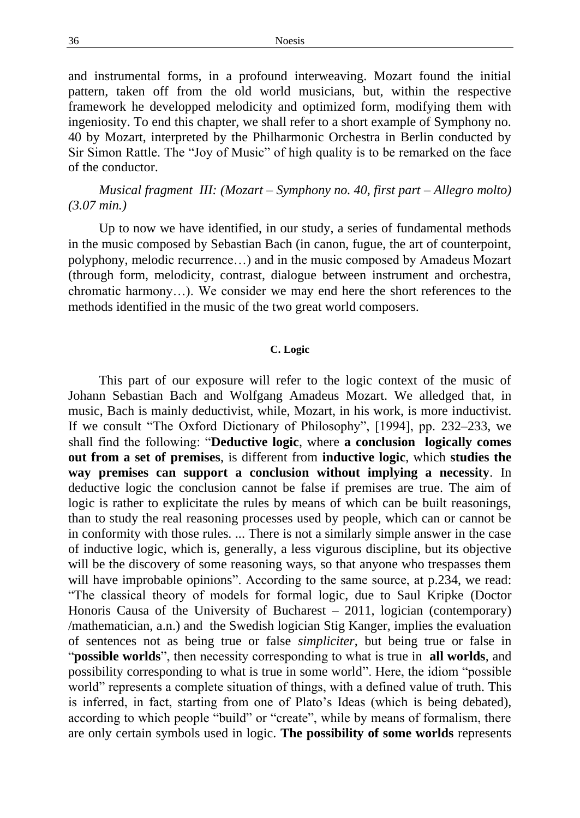and instrumental forms, in a profound interweaving. Mozart found the initial pattern, taken off from the old world musicians, but, within the respective framework he developped melodicity and optimized form, modifying them with ingeniosity. To end this chapter, we shall refer to a short example of Symphony no. 40 by Mozart, interpreted by the Philharmonic Orchestra in Berlin conducted by Sir Simon Rattle. The "Joy of Music" of high quality is to be remarked on the face of the conductor.

*Musical fragment III: (Mozart – Symphony no. 40, first part – Allegro molto) (3.07 min.)*

Up to now we have identified, in our study, a series of fundamental methods in the music composed by Sebastian Bach (in canon, fugue, the art of counterpoint, polyphony, melodic recurrence…) and in the music composed by Amadeus Mozart (through form, melodicity, contrast, dialogue between instrument and orchestra, chromatic harmony…). We consider we may end here the short references to the methods identified in the music of the two great world composers.

## **C. Logic**

This part of our exposure will refer to the logic context of the music of Johann Sebastian Bach and Wolfgang Amadeus Mozart. We alledged that, in music, Bach is mainly deductivist, while, Mozart, in his work, is more inductivist. If we consult "The Oxford Dictionary of Philosophy", [1994], pp. 232–233, we shall find the following: "**Deductive logic**, where **a conclusion logically comes out from a set of premises**, is different from **inductive logic**, which **studies the way premises can support a conclusion without implying a necessity**. In deductive logic the conclusion cannot be false if premises are true. The aim of logic is rather to explicitate the rules by means of which can be built reasonings, than to study the real reasoning processes used by people, which can or cannot be in conformity with those rules. ... There is not a similarly simple answer in the case of inductive logic, which is, generally, a less vigurous discipline, but its objective will be the discovery of some reasoning ways, so that anyone who trespasses them will have improbable opinions". According to the same source, at p.234, we read: "The classical theory of models for formal logic, due to Saul Kripke (Doctor Honoris Causa of the University of Bucharest  $-2011$ , logician (contemporary) /mathematician, a.n.) and the Swedish logician Stig Kanger, implies the evaluation of sentences not as being true or false *simpliciter*, but being true or false in "**possible worlds**", then necessity corresponding to what is true in **all worlds**, and possibility corresponding to what is true in some world". Here, the idiom "possible world" represents a complete situation of things, with a defined value of truth. This is inferred, in fact, starting from one of Plato's Ideas (which is being debated), according to which people "build" or "create", while by means of formalism, there are only certain symbols used in logic. **The possibility of some worlds** represents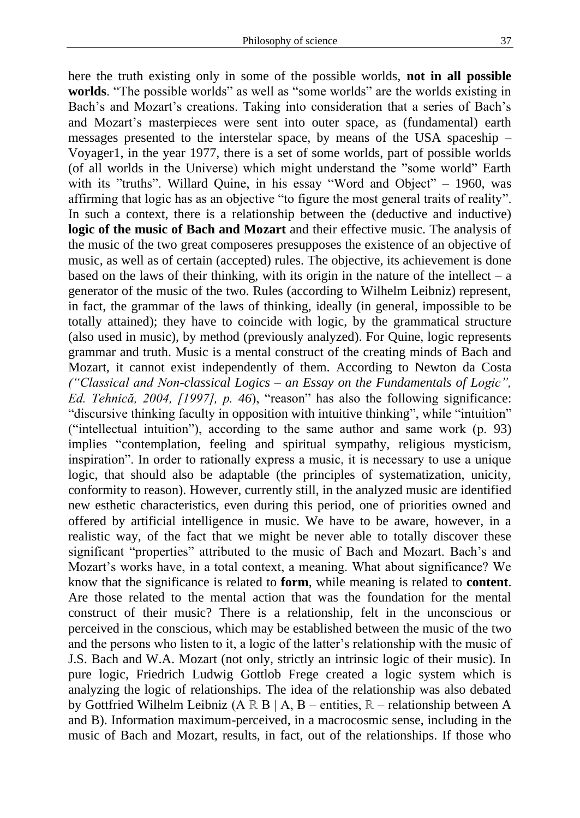here the truth existing only in some of the possible worlds, **not in all possible worlds**. "The possible worlds" as well as "some worlds" are the worlds existing in Bach's and Mozart's creations. Taking into consideration that a series of Bach's and Mozart's masterpieces were sent into outer space, as (fundamental) earth messages presented to the interstelar space, by means of the USA spaceship – Voyager1, in the year 1977, there is a set of some worlds, part of possible worlds (of all worlds in the Universe) which might understand the "some world" Earth with its "truths". Willard Quine, in his essay "Word and Object" – 1960, was affirming that logic has as an objective "to figure the most general traits of reality". In such a context, there is a relationship between the (deductive and inductive) **logic of the music of Bach and Mozart** and their effective music. The analysis of the music of the two great composeres presupposes the existence of an objective of music, as well as of certain (accepted) rules. The objective, its achievement is done based on the laws of their thinking, with its origin in the nature of the intellect –  $a$ generator of the music of the two. Rules (according to Wilhelm Leibniz) represent, in fact, the grammar of the laws of thinking, ideally (in general, impossible to be totally attained); they have to coincide with logic, by the grammatical structure (also used in music), by method (previously analyzed). For Quine, logic represents grammar and truth. Music is a mental construct of the creating minds of Bach and Mozart, it cannot exist independently of them. According to Newton da Costa *("Classical and Non-classical Logics – an Essay on the Fundamentals of Logic", Ed. Tehnică, 2004, [1997], p. 46*), "reason" has also the following significance: "discursive thinking faculty in opposition with intuitive thinking", while "intuition" ("intellectual intuition"), according to the same author and same work (p. 93) implies "contemplation, feeling and spiritual sympathy, religious mysticism, inspiration". In order to rationally express a music, it is necessary to use a unique logic, that should also be adaptable (the principles of systematization, unicity, conformity to reason). However, currently still, in the analyzed music are identified new esthetic characteristics, even during this period, one of priorities owned and offered by artificial intelligence in music. We have to be aware, however, in a realistic way, of the fact that we might be never able to totally discover these significant "properties" attributed to the music of Bach and Mozart. Bach's and Mozart's works have, in a total context, a meaning. What about significance? We know that the significance is related to **form**, while meaning is related to **content**. Are those related to the mental action that was the foundation for the mental construct of their music? There is a relationship, felt in the unconscious or perceived in the conscious, which may be established between the music of the two and the persons who listen to it, a logic of the latter's relationship with the music of J.S. Bach and W.A. Mozart (not only, strictly an intrinsic logic of their music). In pure logic, Friedrich Ludwig Gottlob Frege created a logic system which is analyzing the logic of relationships. The idea of the relationship was also debated by Gottfried Wilhelm Leibniz (A ℝ B | A, B – entities, ℝ – relationship between A and B). Information maximum-perceived, in a macrocosmic sense, including in the music of Bach and Mozart, results, in fact, out of the relationships. If those who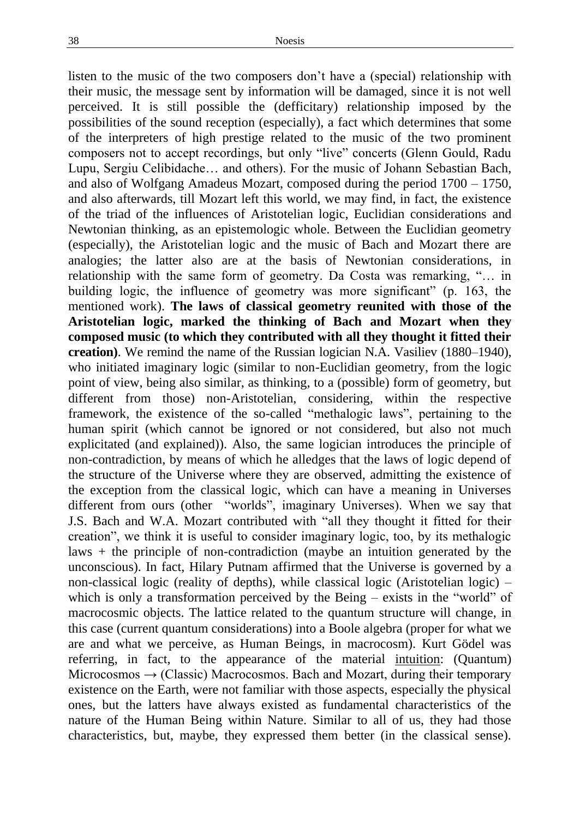listen to the music of the two composers don't have a (special) relationship with their music, the message sent by information will be damaged, since it is not well perceived. It is still possible the (defficitary) relationship imposed by the possibilities of the sound reception (especially), a fact which determines that some of the interpreters of high prestige related to the music of the two prominent composers not to accept recordings, but only "live" concerts (Glenn Gould, Radu Lupu, Sergiu Celibidache… and others). For the music of Johann Sebastian Bach, and also of Wolfgang Amadeus Mozart, composed during the period 1700 – 1750, and also afterwards, till Mozart left this world, we may find, in fact, the existence of the triad of the influences of Aristotelian logic, Euclidian considerations and Newtonian thinking, as an epistemologic whole. Between the Euclidian geometry (especially), the Aristotelian logic and the music of Bach and Mozart there are analogies; the latter also are at the basis of Newtonian considerations, in relationship with the same form of geometry. Da Costa was remarking, "… in building logic, the influence of geometry was more significant" (p. 163, the mentioned work). **The laws of classical geometry reunited with those of the Aristotelian logic, marked the thinking of Bach and Mozart when they composed music (to which they contributed with all they thought it fitted their creation)**. We remind the name of the Russian logician N.A. Vasiliev (1880–1940), who initiated imaginary logic (similar to non-Euclidian geometry, from the logic point of view, being also similar, as thinking, to a (possible) form of geometry, but different from those) non-Aristotelian, considering, within the respective framework, the existence of the so-called "methalogic laws", pertaining to the human spirit (which cannot be ignored or not considered, but also not much explicitated (and explained)). Also, the same logician introduces the principle of non-contradiction, by means of which he alledges that the laws of logic depend of the structure of the Universe where they are observed, admitting the existence of the exception from the classical logic, which can have a meaning in Universes different from ours (other "worlds", imaginary Universes). When we say that J.S. Bach and W.A. Mozart contributed with "all they thought it fitted for their creation", we think it is useful to consider imaginary logic, too, by its methalogic laws + the principle of non-contradiction (maybe an intuition generated by the unconscious). In fact, Hilary Putnam affirmed that the Universe is governed by a non-classical logic (reality of depths), while classical logic (Aristotelian logic) – which is only a transformation perceived by the Being – exists in the "world" of macrocosmic objects. The lattice related to the quantum structure will change, in this case (current quantum considerations) into a Boole algebra (proper for what we are and what we perceive, as Human Beings, in macrocosm). Kurt Gödel was referring, in fact, to the appearance of the material intuition: (Quantum) Microcosmos  $\rightarrow$  (Classic) Macrocosmos. Bach and Mozart, during their temporary existence on the Earth, were not familiar with those aspects, especially the physical ones, but the latters have always existed as fundamental characteristics of the nature of the Human Being within Nature. Similar to all of us, they had those characteristics, but, maybe, they expressed them better (in the classical sense).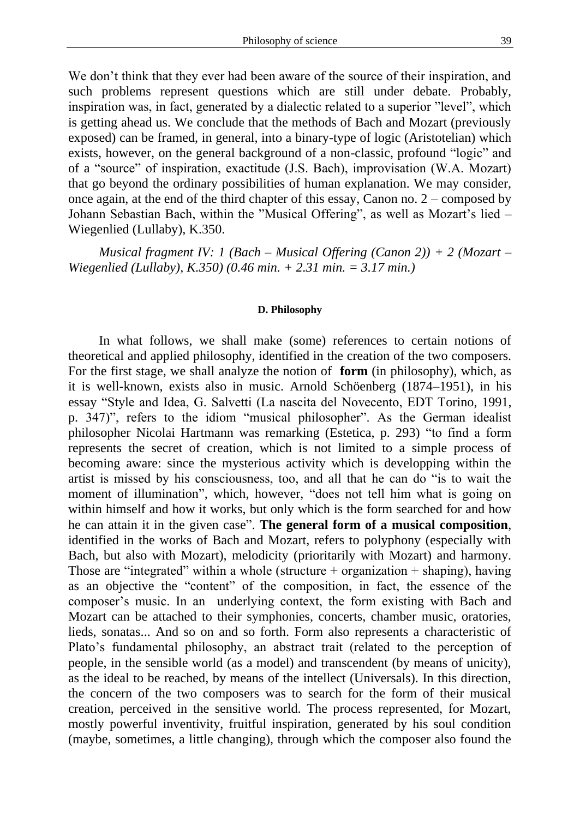We don't think that they ever had been aware of the source of their inspiration, and such problems represent questions which are still under debate. Probably, inspiration was, in fact, generated by a dialectic related to a superior "level", which is getting ahead us. We conclude that the methods of Bach and Mozart (previously exposed) can be framed, in general, into a binary-type of logic (Aristotelian) which exists, however, on the general background of a non-classic, profound "logic" and of a "source" of inspiration, exactitude (J.S. Bach), improvisation (W.A. Mozart) that go beyond the ordinary possibilities of human explanation. We may consider, once again, at the end of the third chapter of this essay, Canon no. 2 – composed by Johann Sebastian Bach, within the "Musical Offering", as well as Mozart's lied – Wiegenlied (Lullaby), K.350.

*Musical fragment IV: 1 (Bach – Musical Offering (Canon 2)) + 2 (Mozart – Wiegenlied (Lullaby), K.350) (0.46 min. + 2.31 min. = 3.17 min.)*

#### **D. Philosophy**

In what follows, we shall make (some) references to certain notions of theoretical and applied philosophy, identified in the creation of the two composers. For the first stage, we shall analyze the notion of **form** (in philosophy), which, as it is well-known, exists also in music. Arnold Schöenberg (1874–1951), in his essay "Style and Idea, G. Salvetti (La nascita del Novecento, EDT Torino, 1991, p. 347)", refers to the idiom "musical philosopher". As the German idealist philosopher Nicolai Hartmann was remarking (Estetica, p. 293) "to find a form represents the secret of creation, which is not limited to a simple process of becoming aware: since the mysterious activity which is developping within the artist is missed by his consciousness, too, and all that he can do "is to wait the moment of illumination", which, however, "does not tell him what is going on within himself and how it works, but only which is the form searched for and how he can attain it in the given case". **The general form of a musical composition**, identified in the works of Bach and Mozart, refers to polyphony (especially with Bach, but also with Mozart), melodicity (prioritarily with Mozart) and harmony. Those are "integrated" within a whole (structure  $+$  organization  $+$  shaping), having as an objective the "content" of the composition, in fact, the essence of the composer's music. In an underlying context, the form existing with Bach and Mozart can be attached to their symphonies, concerts, chamber music, oratories, lieds, sonatas... And so on and so forth. Form also represents a characteristic of Plato's fundamental philosophy, an abstract trait (related to the perception of people, in the sensible world (as a model) and transcendent (by means of unicity), as the ideal to be reached, by means of the intellect (Universals). In this direction, the concern of the two composers was to search for the form of their musical creation, perceived in the sensitive world. The process represented, for Mozart, mostly powerful inventivity, fruitful inspiration, generated by his soul condition (maybe, sometimes, a little changing), through which the composer also found the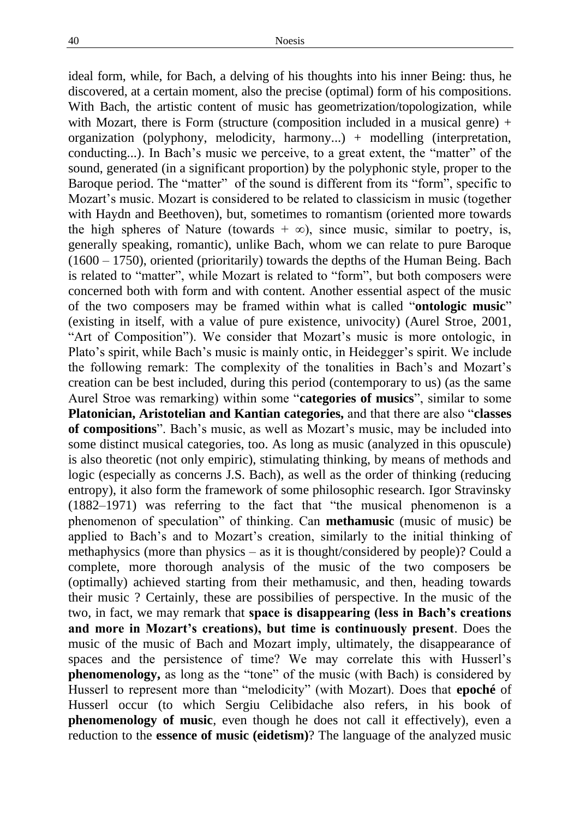ideal form, while, for Bach, a delving of his thoughts into his inner Being: thus, he discovered, at a certain moment, also the precise (optimal) form of his compositions. With Bach, the artistic content of music has geometrization/topologization, while with Mozart, there is Form (structure (composition included in a musical genre)  $+$ organization (polyphony, melodicity, harmony...) + modelling (interpretation, conducting...). In Bach's music we perceive, to a great extent, the "matter" of the sound, generated (in a significant proportion) by the polyphonic style, proper to the Baroque period. The "matter" of the sound is different from its "form", specific to Mozart's music. Mozart is considered to be related to classicism in music (together with Haydn and Beethoven), but, sometimes to romantism (oriented more towards the high spheres of Nature (towards +  $\infty$ ), since music, similar to poetry, is, generally speaking, romantic), unlike Bach, whom we can relate to pure Baroque (1600 – 1750), oriented (prioritarily) towards the depths of the Human Being. Bach is related to "matter", while Mozart is related to "form", but both composers were concerned both with form and with content. Another essential aspect of the music of the two composers may be framed within what is called "**ontologic music**" (existing in itself, with a value of pure existence, univocity) (Aurel Stroe, 2001, "Art of Composition"). We consider that Mozart's music is more ontologic, in Plato's spirit, while Bach's music is mainly ontic, in Heidegger's spirit. We include the following remark: The complexity of the tonalities in Bach's and Mozart's creation can be best included, during this period (contemporary to us) (as the same Aurel Stroe was remarking) within some "**categories of musics**", similar to some **Platonician, Aristotelian and Kantian categories,** and that there are also "**classes of compositions**". Bach's music, as well as Mozart's music, may be included into some distinct musical categories, too. As long as music (analyzed in this opuscule) is also theoretic (not only empiric), stimulating thinking, by means of methods and logic (especially as concerns J.S. Bach), as well as the order of thinking (reducing entropy), it also form the framework of some philosophic research. Igor Stravinsky (1882–1971) was referring to the fact that "the musical phenomenon is a phenomenon of speculation" of thinking. Can **methamusic** (music of music) be applied to Bach's and to Mozart's creation, similarly to the initial thinking of methaphysics (more than physics – as it is thought/considered by people)? Could a complete, more thorough analysis of the music of the two composers be (optimally) achieved starting from their methamusic, and then, heading towards their music ? Certainly, these are possibilies of perspective. In the music of the two, in fact, we may remark that **space is disappearing (less in Bach's creations and more in Mozart's creations), but time is continuously present**. Does the music of the music of Bach and Mozart imply, ultimately, the disappearance of spaces and the persistence of time? We may correlate this with Husserl's **phenomenology,** as long as the "tone" of the music (with Bach) is considered by Husserl to represent more than "melodicity" (with Mozart). Does that **epoché** of Husserl occur (to which Sergiu Celibidache also refers, in his book of **phenomenology of music**, even though he does not call it effectively), even a reduction to the **essence of music (eidetism)**? The language of the analyzed music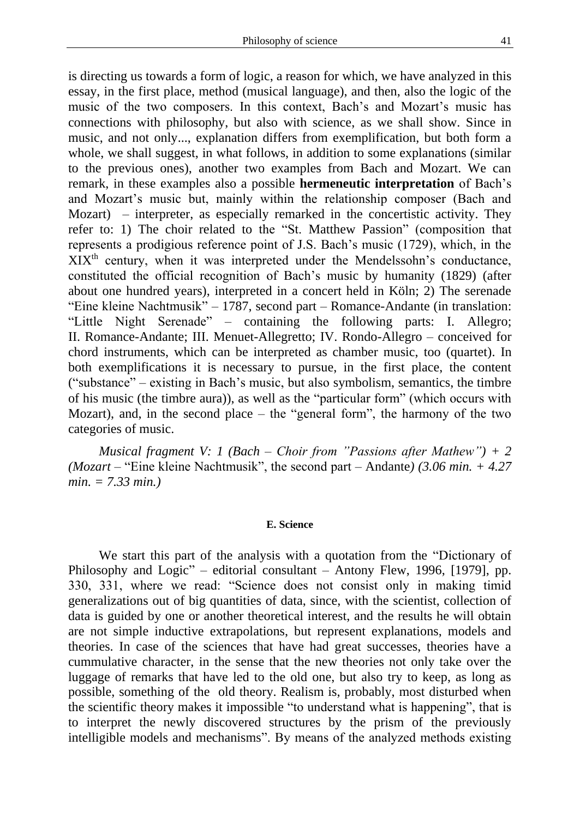is directing us towards a form of logic, a reason for which, we have analyzed in this essay, in the first place, method (musical language), and then, also the logic of the music of the two composers. In this context, Bach's and Mozart's music has connections with philosophy, but also with science, as we shall show. Since in music, and not only..., explanation differs from exemplification, but both form a whole, we shall suggest, in what follows, in addition to some explanations (similar to the previous ones), another two examples from Bach and Mozart. We can remark, in these examples also a possible **hermeneutic interpretation** of Bach's and Mozart's music but, mainly within the relationship composer (Bach and Mozart) – interpreter, as especially remarked in the concertistic activity. They refer to: 1) The choir related to the "St. Matthew Passion" (composition that represents a prodigious reference point of J.S. Bach's music (1729), which, in the XIXth century, when it was interpreted under the Mendelssohn's conductance, constituted the official recognition of Bach's music by humanity (1829) (after about one hundred years), interpreted in a concert held in Köln; 2) The serenade "Eine kleine Nachtmusik" – 1787, second part – Romance-Andante (in translation: "Little Night Serenade" – containing the following parts: I. Allegro; II. Romance-Andante; III. Menuet-Allegretto; IV. Rondo-Allegro – conceived for chord instruments, which can be interpreted as chamber music, too (quartet). In both exemplifications it is necessary to pursue, in the first place, the content ("substance" – existing in Bach's music, but also symbolism, semantics, the timbre of his music (the timbre aura)), as well as the "particular form" (which occurs with Mozart), and, in the second place – the "general form", the harmony of the two categories of music.

*Musical fragment V: 1 (Bach – Choir from "Passions after Mathew") + 2 (Mozart –* "Eine kleine Nachtmusik", the second part – Andante*) (3.06 min. + 4.27 min. = 7.33 min.)* 

### **E. Science**

We start this part of the analysis with a quotation from the "Dictionary of Philosophy and Logic" – editorial consultant – Antony Flew, 1996, [1979], pp. 330, 331, where we read: "Science does not consist only in making timid generalizations out of big quantities of data, since, with the scientist, collection of data is guided by one or another theoretical interest, and the results he will obtain are not simple inductive extrapolations, but represent explanations, models and theories. In case of the sciences that have had great successes, theories have a cummulative character, in the sense that the new theories not only take over the luggage of remarks that have led to the old one, but also try to keep, as long as possible, something of the old theory. Realism is, probably, most disturbed when the scientific theory makes it impossible "to understand what is happening", that is to interpret the newly discovered structures by the prism of the previously intelligible models and mechanisms". By means of the analyzed methods existing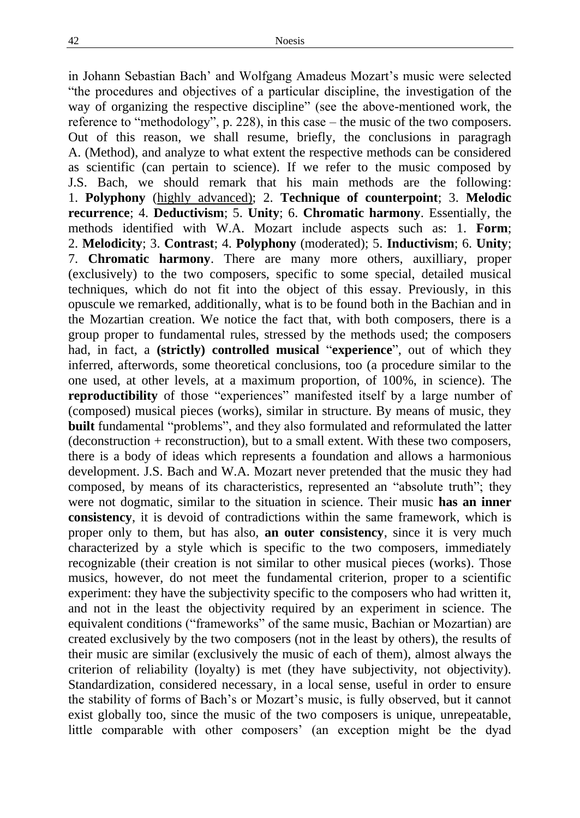in Johann Sebastian Bach' and Wolfgang Amadeus Mozart's music were selected "the procedures and objectives of a particular discipline, the investigation of the way of organizing the respective discipline" (see the above-mentioned work, the reference to "methodology", p. 228), in this case – the music of the two composers. Out of this reason, we shall resume, briefly, the conclusions in paragragh A. (Method), and analyze to what extent the respective methods can be considered as scientific (can pertain to science). If we refer to the music composed by J.S. Bach, we should remark that his main methods are the following: 1. **Polyphony** (highly advanced); 2. **Technique of counterpoint**; 3. **Melodic recurrence**; 4. **Deductivism**; 5. **Unity**; 6. **Chromatic harmony**. Essentially, the methods identified with W.A. Mozart include aspects such as: 1. **Form**; 2. **Melodicity**; 3. **Contrast**; 4. **Polyphony** (moderated); 5. **Inductivism**; 6. **Unity**; 7. **Chromatic harmony**. There are many more others, auxilliary, proper (exclusively) to the two composers, specific to some special, detailed musical techniques, which do not fit into the object of this essay. Previously, in this opuscule we remarked, additionally, what is to be found both in the Bachian and in the Mozartian creation. We notice the fact that, with both composers, there is a group proper to fundamental rules, stressed by the methods used; the composers had, in fact, a **(strictly) controlled musical** "**experience**", out of which they inferred, afterwords, some theoretical conclusions, too (a procedure similar to the one used, at other levels, at a maximum proportion, of 100%, in science). The **reproductibility** of those "experiences" manifested itself by a large number of (composed) musical pieces (works), similar in structure. By means of music, they **built** fundamental "problems", and they also formulated and reformulated the latter (deconstruction + reconstruction), but to a small extent. With these two composers, there is a body of ideas which represents a foundation and allows a harmonious development. J.S. Bach and W.A. Mozart never pretended that the music they had composed, by means of its characteristics, represented an "absolute truth"; they were not dogmatic, similar to the situation in science. Their music **has an inner consistency**, it is devoid of contradictions within the same framework, which is proper only to them, but has also, **an outer consistency**, since it is very much characterized by a style which is specific to the two composers, immediately recognizable (their creation is not similar to other musical pieces (works). Those musics, however, do not meet the fundamental criterion, proper to a scientific experiment: they have the subjectivity specific to the composers who had written it, and not in the least the objectivity required by an experiment in science. The equivalent conditions ("frameworks" of the same music, Bachian or Mozartian) are created exclusively by the two composers (not in the least by others), the results of their music are similar (exclusively the music of each of them), almost always the criterion of reliability (loyalty) is met (they have subjectivity, not objectivity). Standardization, considered necessary, in a local sense, useful in order to ensure the stability of forms of Bach's or Mozart's music, is fully observed, but it cannot exist globally too, since the music of the two composers is unique, unrepeatable, little comparable with other composers' (an exception might be the dyad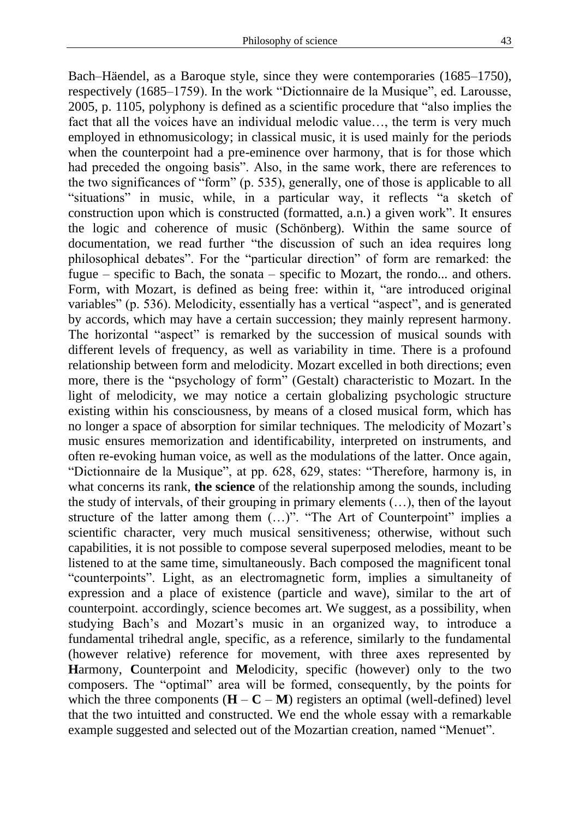Bach–Häendel, as a Baroque style, since they were contemporaries (1685–1750), respectively (1685–1759). In the work "Dictionnaire de la Musique", ed. Larousse, 2005, p. 1105, polyphony is defined as a scientific procedure that "also implies the fact that all the voices have an individual melodic value…, the term is very much employed in ethnomusicology; in classical music, it is used mainly for the periods when the counterpoint had a pre-eminence over harmony, that is for those which had preceded the ongoing basis". Also, in the same work, there are references to the two significances of "form" (p. 535), generally, one of those is applicable to all "situations" in music, while, in a particular way, it reflects "a sketch of construction upon which is constructed (formatted, a.n.) a given work". It ensures the logic and coherence of music (Schönberg). Within the same source of documentation, we read further "the discussion of such an idea requires long philosophical debates". For the "particular direction" of form are remarked: the fugue – specific to Bach, the sonata – specific to Mozart, the rondo... and others. Form, with Mozart, is defined as being free: within it, "are introduced original variables" (p. 536). Melodicity, essentially has a vertical "aspect", and is generated by accords, which may have a certain succession; they mainly represent harmony. The horizontal "aspect" is remarked by the succession of musical sounds with different levels of frequency, as well as variability in time. There is a profound relationship between form and melodicity. Mozart excelled in both directions; even more, there is the "psychology of form" (Gestalt) characteristic to Mozart. In the light of melodicity, we may notice a certain globalizing psychologic structure existing within his consciousness, by means of a closed musical form, which has no longer a space of absorption for similar techniques. The melodicity of Mozart's music ensures memorization and identificability, interpreted on instruments, and often re-evoking human voice, as well as the modulations of the latter. Once again, "Dictionnaire de la Musique", at pp. 628, 629, states: "Therefore, harmony is, in what concerns its rank, **the science** of the relationship among the sounds, including the study of intervals, of their grouping in primary elements (…), then of the layout structure of the latter among them (…)". "The Art of Counterpoint" implies a scientific character, very much musical sensitiveness; otherwise, without such capabilities, it is not possible to compose several superposed melodies, meant to be listened to at the same time, simultaneously. Bach composed the magnificent tonal "counterpoints". Light, as an electromagnetic form, implies a simultaneity of expression and a place of existence (particle and wave), similar to the art of counterpoint. accordingly, science becomes art. We suggest, as a possibility, when studying Bach's and Mozart's music in an organized way, to introduce a fundamental trihedral angle, specific, as a reference, similarly to the fundamental (however relative) reference for movement, with three axes represented by **H**armony, **C**ounterpoint and **M**elodicity, specific (however) only to the two composers. The "optimal" area will be formed, consequently, by the points for which the three components  $(H - C - M)$  registers an optimal (well-defined) level that the two intuitted and constructed. We end the whole essay with a remarkable example suggested and selected out of the Mozartian creation, named "Menuet".